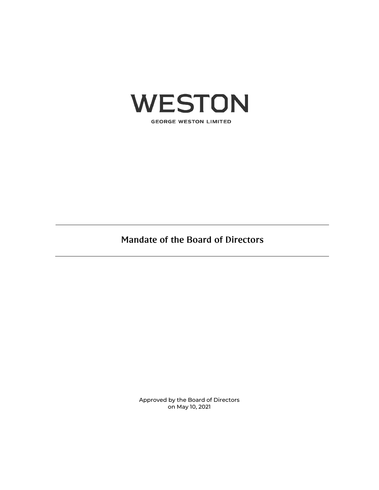

**GEORGE WESTON LIMITED** 

Mandate of the Board of Directors

Approved by the Board of Directors on May 10, 2021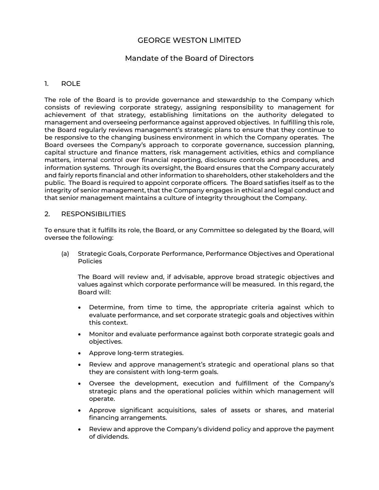# GEORGE WESTON LIMITED

# Mandate of the Board of Directors

### 1. ROLE

The role of the Board is to provide governance and stewardship to the Company which consists of reviewing corporate strategy, assigning responsibility to management for achievement of that strategy, establishing limitations on the authority delegated to management and overseeing performance against approved objectives. In fulfilling this role, the Board regularly reviews management's strategic plans to ensure that they continue to be responsive to the changing business environment in which the Company operates. The Board oversees the Company's approach to corporate governance, succession planning, capital structure and finance matters, risk management activities, ethics and compliance matters, internal control over financial reporting, disclosure controls and procedures, and information systems. Through its oversight, the Board ensures that the Company accurately and fairly reports financial and other information to shareholders, other stakeholders and the public. The Board is required to appoint corporate officers. The Board satisfies itself as to the integrity of senior management, that the Company engages in ethical and legal conduct and that senior management maintains a culture of integrity throughout the Company.

#### 2. RESPONSIBILITIES

To ensure that it fulfills its role, the Board, or any Committee so delegated by the Board, will oversee the following:

(a) Strategic Goals, Corporate Performance, Performance Objectives and Operational Policies

The Board will review and, if advisable, approve broad strategic objectives and values against which corporate performance will be measured. In this regard, the Board will:

- Determine, from time to time, the appropriate criteria against which to evaluate performance, and set corporate strategic goals and objectives within this context.
- Monitor and evaluate performance against both corporate strategic goals and objectives.
- Approve long-term strategies.
- Review and approve management's strategic and operational plans so that they are consistent with long-term goals.
- Oversee the development, execution and fulfillment of the Company's strategic plans and the operational policies within which management will operate.
- Approve significant acquisitions, sales of assets or shares, and material financing arrangements.
- Review and approve the Company's dividend policy and approve the payment of dividends.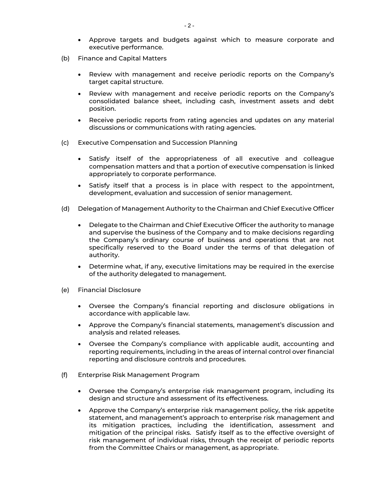- Approve targets and budgets against which to measure corporate and executive performance.
- (b) Finance and Capital Matters
	- Review with management and receive periodic reports on the Company's target capital structure.
	- Review with management and receive periodic reports on the Company's consolidated balance sheet, including cash, investment assets and debt position.
	- Receive periodic reports from rating agencies and updates on any material discussions or communications with rating agencies.
- (c) Executive Compensation and Succession Planning
	- Satisfy itself of the appropriateness of all executive and colleague compensation matters and that a portion of executive compensation is linked appropriately to corporate performance.
	- Satisfy itself that a process is in place with respect to the appointment, development, evaluation and succession of senior management.
- (d) Delegation of Management Authority to the Chairman and Chief Executive Officer
	- Delegate to the Chairman and Chief Executive Officer the authority to manage and supervise the business of the Company and to make decisions regarding the Company's ordinary course of business and operations that are not specifically reserved to the Board under the terms of that delegation of authority.
	- Determine what, if any, executive limitations may be required in the exercise of the authority delegated to management.
- (e) Financial Disclosure
	- Oversee the Company's financial reporting and disclosure obligations in accordance with applicable law.
	- Approve the Company's financial statements, management's discussion and analysis and related releases.
	- Oversee the Company's compliance with applicable audit, accounting and reporting requirements, including in the areas of internal control over financial reporting and disclosure controls and procedures.
- (f) Enterprise Risk Management Program
	- Oversee the Company's enterprise risk management program, including its design and structure and assessment of its effectiveness.
	- Approve the Company's enterprise risk management policy, the risk appetite statement, and management's approach to enterprise risk management and its mitigation practices, including the identification, assessment and mitigation of the principal risks. Satisfy itself as to the effective oversight of risk management of individual risks, through the receipt of periodic reports from the Committee Chairs or management, as appropriate.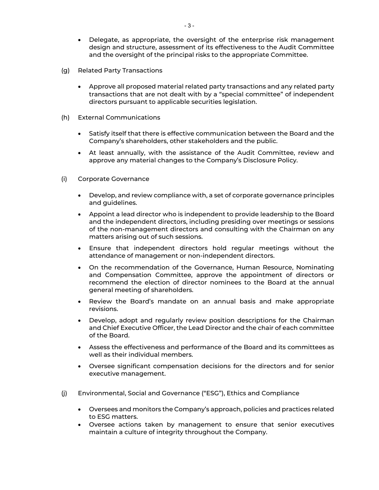- Delegate, as appropriate, the oversight of the enterprise risk management design and structure, assessment of its effectiveness to the Audit Committee and the oversight of the principal risks to the appropriate Committee.
- (g) Related Party Transactions
	- Approve all proposed material related party transactions and any related party transactions that are not dealt with by a "special committee" of independent directors pursuant to applicable securities legislation.
- (h) External Communications
	- Satisfy itself that there is effective communication between the Board and the Company's shareholders, other stakeholders and the public.
	- At least annually, with the assistance of the Audit Committee, review and approve any material changes to the Company's Disclosure Policy.
- (i) Corporate Governance
	- Develop, and review compliance with, a set of corporate governance principles and guidelines.
	- Appoint a lead director who is independent to provide leadership to the Board and the independent directors, including presiding over meetings or sessions of the non-management directors and consulting with the Chairman on any matters arising out of such sessions.
	- Ensure that independent directors hold regular meetings without the attendance of management or non-independent directors.
	- On the recommendation of the Governance, Human Resource, Nominating and Compensation Committee, approve the appointment of directors or recommend the election of director nominees to the Board at the annual general meeting of shareholders.
	- Review the Board's mandate on an annual basis and make appropriate revisions.
	- Develop, adopt and regularly review position descriptions for the Chairman and Chief Executive Officer, the Lead Director and the chair of each committee of the Board.
	- Assess the effectiveness and performance of the Board and its committees as well as their individual members.
	- Oversee significant compensation decisions for the directors and for senior executive management.
- (j) Environmental, Social and Governance ("ESG"), Ethics and Compliance
	- Oversees and monitors the Company's approach, policies and practices related to ESG matters.
	- Oversee actions taken by management to ensure that senior executives maintain a culture of integrity throughout the Company.